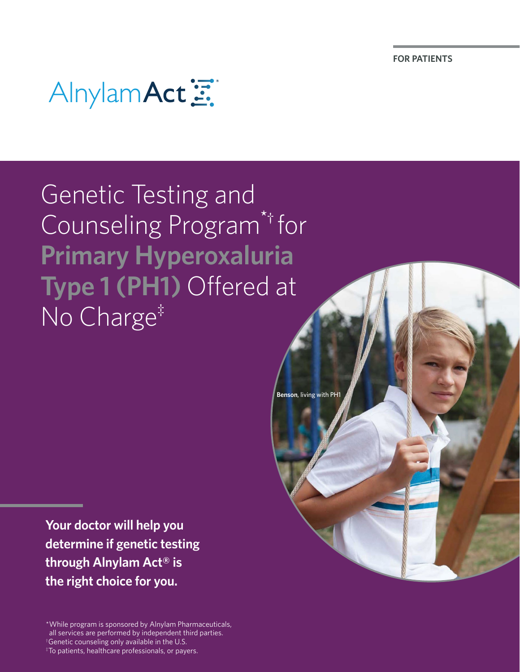**FOR PATIENTS**



Genetic Testing and Counseling Program\*† for **Primary Hyperoxaluria Type 1 (PH1)** Offered at No Charge‡

**Benson**, living with PH<sup>1</sup>

**Your doctor will help you determine if genetic testing through Alnylam Act® is the right choice for you.**

\*While program is sponsored by Alnylam Pharmaceuticals, all services are performed by independent third parties.

† Genetic counseling only available in the U.S.  $*$ To patients, healthcare professionals, or payers.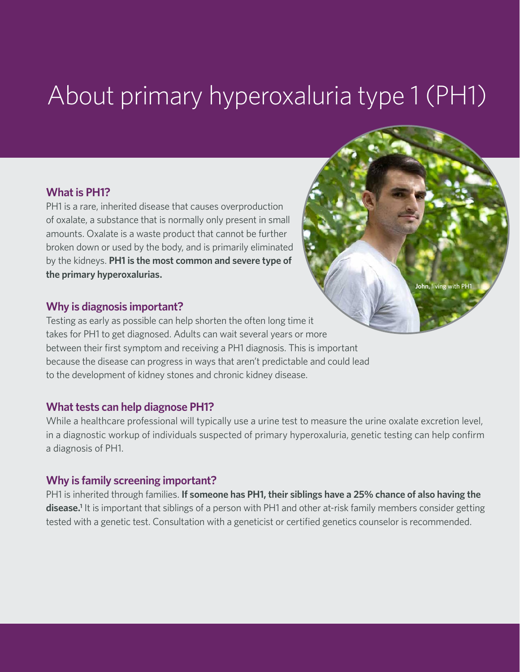# About primary hyperoxaluria type 1 (PH1)

#### **What is PH1?**

PH1 is a rare, inherited disease that causes overproduction of oxalate, a substance that is normally only present in small amounts. Oxalate is a waste product that cannot be further broken down or used by the body, and is primarily eliminated by the kidneys. **PH1 is the most common and severe type of the primary hyperoxalurias.**

#### **Why is diagnosis important?**

Testing as early as possible can help shorten the often long time it takes for PH1 to get diagnosed. Adults can wait several years or more between their first symptom and receiving a PH1 diagnosis. This is important because the disease can progress in ways that aren't predictable and could lead to the development of kidney stones and chronic kidney disease.

#### **What tests can help diagnose PH1?**

While a healthcare professional will typically use a urine test to measure the urine oxalate excretion level, in a diagnostic workup of individuals suspected of primary hyperoxaluria, genetic testing can help confirm a diagnosis of PH1.

#### **Why is family screening important?**

PH1 is inherited through families. **If someone has PH1, their siblings have a 25% chance of also having the**  disease.<sup>1</sup> It is important that siblings of a person with PH1 and other at-risk family members consider getting tested with a genetic test. Consultation with a geneticist or certified genetics counselor is recommended.

**John**, living with PH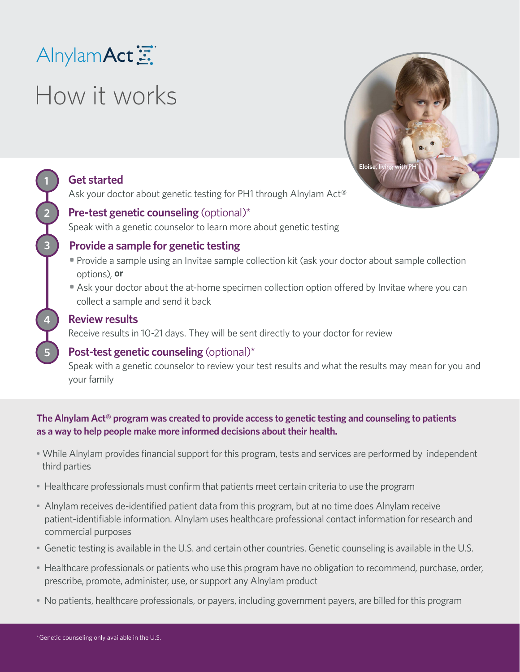### Alnylam Act

# How it works



### **Get started**

**1**

**2**

**3**

**4**

**5**

Ask your doctor about genetic testing for PH1 through Alnylam Act®

### **Pre-test genetic counseling** (optional)\*

Speak with a genetic counselor to learn more about genetic testing

### **Provide a sample for genetic testing**

- **•** Provide a sample using an Invitae sample collection kit (ask your doctor about sample collection options), **or**
- **•** Ask your doctor about the at-home specimen collection option offered by Invitae where you can collect a sample and send it back

#### **Review results**

Receive results in 10-21 days. They will be sent directly to your doctor for review

### **Post-test genetic counseling** (optional)\*

Speak with a genetic counselor to review your test results and what the results may mean for you and your family

**The Alnylam Act® program was created to provide access to genetic testing and counseling to patients as a way to help people make more informed decisions about their health.**

- While Alnylam provides financial support for this program, tests and services are performed by independent third parties
- Healthcare professionals must confirm that patients meet certain criteria to use the program
- Alnylam receives de-identified patient data from this program, but at no time does Alnylam receive patient-identifiable information. Alnylam uses healthcare professional contact information for research and commercial purposes
- Genetic testing is available in the U.S. and certain other countries. Genetic counseling is available in the U.S.
- Healthcare professionals or patients who use this program have no obligation to recommend, purchase, order, prescribe, promote, administer, use, or support any Alnylam product
- No patients, healthcare professionals, or payers, including government payers, are billed for this program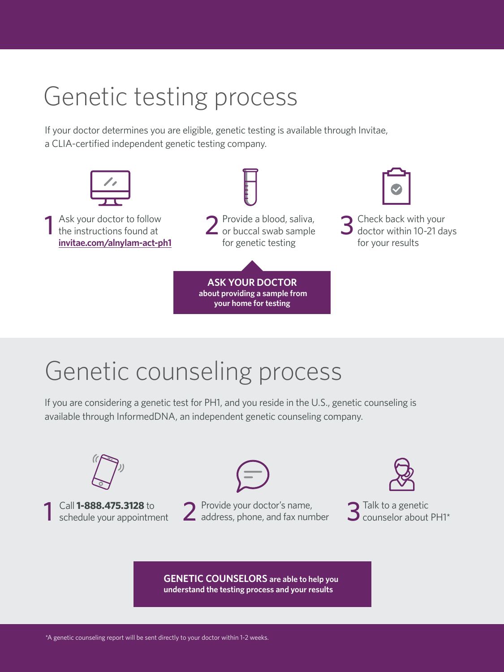# Genetic testing process

If your doctor determines you are eligible, genetic testing is available through Invitae, a CLIA-certified independent genetic testing company.



# Genetic counseling process

If you are considering a genetic test for PH1, and you reside in the U.S., genetic counseling is available through InformedDNA, an independent genetic counseling company.



**understand the testing process and your results**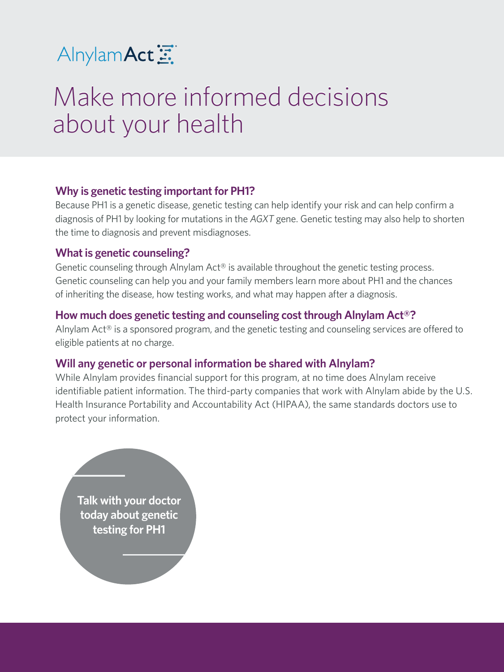

# Make more informed decisions Make more informed decisions about your health about your health

#### **Why is genetic testing important for PH1?**

Because PH1 is a genetic disease, genetic testing can help identify your risk and can help confirm a diagnosis of PH1 by looking for mutations in the *AGXT* gene. Genetic testing may also help to shorten the time to diagnosis and prevent misdiagnoses.

#### **What is genetic counseling?**

Genetic counseling through Alnylam Act® is available throughout the genetic testing process. Genetic counseling can help you and your family members learn more about PH1 and the chances of inheriting the disease, how testing works, and what may happen after a diagnosis.

#### **How much does genetic testing and counseling cost through Alnylam Act®?**

Alnylam Act® is a sponsored program, and the genetic testing and counseling services are offered to eligible patients at no charge.

#### **Will any genetic or personal information be shared with Alnylam?**

While Alnylam provides financial support for this program, at no time does Alnylam receive identifiable patient information. The third-party companies that work with Alnylam abide by the U.S. Health Insurance Portability and Accountability Act (HIPAA), the same standards doctors use to protect your information.

**Talk with your doctor today about genetic testing for PH1**